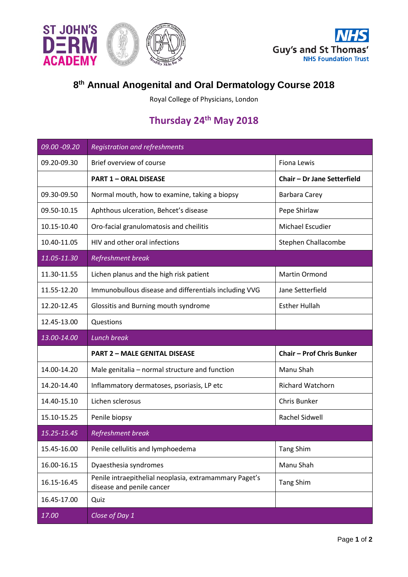



## **8th Annual Anogenital and Oral Dermatology Course 2018**

Royal College of Physicians, London

## **Thursday 24th May 2018**

| 09.00 - 09.20 | <b>Registration and refreshments</b>                                                |                                  |
|---------------|-------------------------------------------------------------------------------------|----------------------------------|
| 09.20-09.30   | Brief overview of course                                                            | Fiona Lewis                      |
|               | <b>PART 1 - ORAL DISEASE</b>                                                        | Chair - Dr Jane Setterfield      |
| 09.30-09.50   | Normal mouth, how to examine, taking a biopsy                                       | <b>Barbara Carey</b>             |
| 09.50-10.15   | Aphthous ulceration, Behcet's disease                                               | Pepe Shirlaw                     |
| 10.15-10.40   | Oro-facial granulomatosis and cheilitis                                             | <b>Michael Escudier</b>          |
| 10.40-11.05   | HIV and other oral infections                                                       | Stephen Challacombe              |
| 11.05-11.30   | <b>Refreshment break</b>                                                            |                                  |
| 11.30-11.55   | Lichen planus and the high risk patient                                             | Martin Ormond                    |
| 11.55-12.20   | Immunobullous disease and differentials including VVG                               | Jane Setterfield                 |
| 12.20-12.45   | Glossitis and Burning mouth syndrome                                                | <b>Esther Hullah</b>             |
| 12.45-13.00   | Questions                                                                           |                                  |
|               |                                                                                     |                                  |
| 13.00-14.00   | <b>Lunch break</b>                                                                  |                                  |
|               | <b>PART 2 - MALE GENITAL DISEASE</b>                                                | <b>Chair - Prof Chris Bunker</b> |
| 14.00-14.20   | Male genitalia - normal structure and function                                      | Manu Shah                        |
| 14.20-14.40   | Inflammatory dermatoses, psoriasis, LP etc                                          | <b>Richard Watchorn</b>          |
| 14.40-15.10   | Lichen sclerosus                                                                    | Chris Bunker                     |
| 15.10-15.25   | Penile biopsy                                                                       | Rachel Sidwell                   |
| 15.25-15.45   | <b>Refreshment break</b>                                                            |                                  |
| 15.45-16.00   | Penile cellulitis and lymphoedema                                                   | <b>Tang Shim</b>                 |
| 16.00-16.15   | Dyaesthesia syndromes                                                               | Manu Shah                        |
| 16.15-16.45   | Penile intraepithelial neoplasia, extramammary Paget's<br>disease and penile cancer | <b>Tang Shim</b>                 |
| 16.45-17.00   | Quiz                                                                                |                                  |